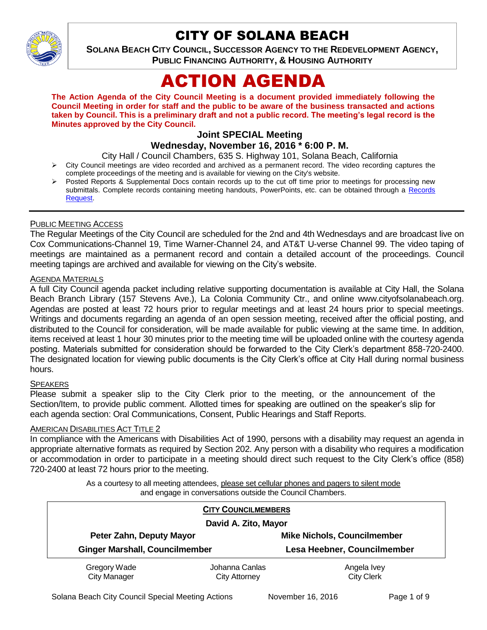

## CITY OF SOLANA BEACH

**SOLANA BEACH CITY COUNCIL, SUCCESSOR AGENCY TO THE REDEVELOPMENT AGENCY, PUBLIC FINANCING AUTHORITY, & HOUSING AUTHORITY** 

# ACTION AGENDA

**The Action Agenda of the City Council Meeting is a document provided immediately following the Council Meeting in order for staff and the public to be aware of the business transacted and actions taken by Council. This is a preliminary draft and not a public record. The meeting's legal record is the Minutes approved by the City Council.**

## **Joint SPECIAL Meeting**

**Wednesday, November 16, 2016 \* 6:00 P. M.**

- City Hall / Council Chambers, 635 S. Highway 101, Solana Beach, California
- $\triangleright$  City Council meetings are video recorded and archived as a permanent record. The video recording captures the complete proceedings of the meeting and is available for viewing on the City's website.
- Posted Reports & Supplemental Docs contain records up to the cut off time prior to meetings for processing new submittals. Complete records containing meeting handouts, PowerPoints, etc. can be obtained through a [Records](http://www.ci.solana-beach.ca.us/index.asp?SEC=F5D45D10-70CE-4291-A27C-7BD633FC6742&Type=B_BASIC)  [Request.](http://www.ci.solana-beach.ca.us/index.asp?SEC=F5D45D10-70CE-4291-A27C-7BD633FC6742&Type=B_BASIC)

## PUBLIC MEETING ACCESS

The Regular Meetings of the City Council are scheduled for the 2nd and 4th Wednesdays and are broadcast live on Cox Communications-Channel 19, Time Warner-Channel 24, and AT&T U-verse Channel 99. The video taping of meetings are maintained as a permanent record and contain a detailed account of the proceedings. Council meeting tapings are archived and available for viewing on the City's website.

#### AGENDA MATERIALS

A full City Council agenda packet including relative supporting documentation is available at City Hall, the Solana Beach Branch Library (157 Stevens Ave.), La Colonia Community Ctr., and online www.cityofsolanabeach.org. Agendas are posted at least 72 hours prior to regular meetings and at least 24 hours prior to special meetings. Writings and documents regarding an agenda of an open session meeting, received after the official posting, and distributed to the Council for consideration, will be made available for public viewing at the same time. In addition, items received at least 1 hour 30 minutes prior to the meeting time will be uploaded online with the courtesy agenda posting. Materials submitted for consideration should be forwarded to the City Clerk's department 858-720-2400. The designated location for viewing public documents is the City Clerk's office at City Hall during normal business hours.

#### **SPEAKERS**

Please submit a speaker slip to the City Clerk prior to the meeting, or the announcement of the Section/Item, to provide public comment. Allotted times for speaking are outlined on the speaker's slip for each agenda section: Oral Communications, Consent, Public Hearings and Staff Reports.

#### **AMERICAN DISABILITIES ACT TITLE 2**

In compliance with the Americans with Disabilities Act of 1990, persons with a disability may request an agenda in appropriate alternative formats as required by Section 202. Any person with a disability who requires a modification or accommodation in order to participate in a meeting should direct such request to the City Clerk's office (858) 720-2400 at least 72 hours prior to the meeting.

> As a courtesy to all meeting attendees, please set cellular phones and pagers to silent mode and engage in conversations outside the Council Chambers.

| <b>CITY COUNCILMEMBERS</b><br>David A. Zito, Mayor |                                        |                                    |
|----------------------------------------------------|----------------------------------------|------------------------------------|
| Peter Zahn, Deputy Mayor                           |                                        | <b>Mike Nichols, Councilmember</b> |
| <b>Ginger Marshall, Councilmember</b>              |                                        | Lesa Heebner, Councilmember        |
| Gregory Wade<br><b>City Manager</b>                | Johanna Canlas<br><b>City Attorney</b> | Angela Ivey<br><b>City Clerk</b>   |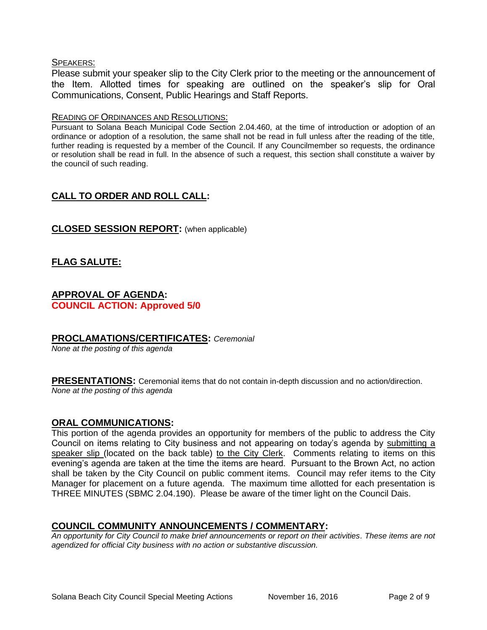#### SPEAKERS:

Please submit your speaker slip to the City Clerk prior to the meeting or the announcement of the Item. Allotted times for speaking are outlined on the speaker's slip for Oral Communications, Consent, Public Hearings and Staff Reports.

#### READING OF ORDINANCES AND RESOLUTIONS:

Pursuant to Solana Beach Municipal Code Section 2.04.460, at the time of introduction or adoption of an ordinance or adoption of a resolution, the same shall not be read in full unless after the reading of the title, further reading is requested by a member of the Council. If any Councilmember so requests, the ordinance or resolution shall be read in full. In the absence of such a request, this section shall constitute a waiver by the council of such reading.

## **CALL TO ORDER AND ROLL CALL:**

## **CLOSED SESSION REPORT:** (when applicable)

## **FLAG SALUTE:**

## **APPROVAL OF AGENDA: COUNCIL ACTION: Approved 5/0**

#### **PROCLAMATIONS/CERTIFICATES:** *Ceremonial*

*None at the posting of this agenda*

**PRESENTATIONS:** Ceremonial items that do not contain in-depth discussion and no action/direction. *None at the posting of this agenda*

#### **ORAL COMMUNICATIONS:**

This portion of the agenda provides an opportunity for members of the public to address the City Council on items relating to City business and not appearing on today's agenda by submitting a speaker slip (located on the back table) to the City Clerk. Comments relating to items on this evening's agenda are taken at the time the items are heard. Pursuant to the Brown Act, no action shall be taken by the City Council on public comment items. Council may refer items to the City Manager for placement on a future agenda. The maximum time allotted for each presentation is THREE MINUTES (SBMC 2.04.190). Please be aware of the timer light on the Council Dais.

#### **COUNCIL COMMUNITY ANNOUNCEMENTS / COMMENTARY:**

*An opportunity for City Council to make brief announcements or report on their activities. These items are not agendized for official City business with no action or substantive discussion.*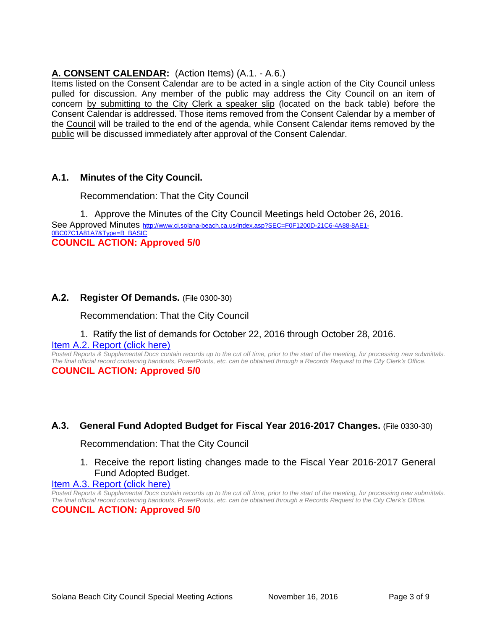## **A. CONSENT CALENDAR:** (Action Items) (A.1. - A.6.)

Items listed on the Consent Calendar are to be acted in a single action of the City Council unless pulled for discussion. Any member of the public may address the City Council on an item of concern by submitting to the City Clerk a speaker slip (located on the back table) before the Consent Calendar is addressed. Those items removed from the Consent Calendar by a member of the Council will be trailed to the end of the agenda, while Consent Calendar items removed by the public will be discussed immediately after approval of the Consent Calendar.

## **A.1. Minutes of the City Council.**

Recommendation: That the City Council

1. Approve the Minutes of the City Council Meetings held October 26, 2016. See Approved Minutes [http://www.ci.solana-beach.ca.us/index.asp?SEC=F0F1200D-21C6-4A88-8AE1-](http://www.ci.solana-beach.ca.us/index.asp?SEC=F0F1200D-21C6-4A88-8AE1-0BC07C1A81A7&Type=B_BASIC) [0BC07C1A81A7&Type=B\\_BASIC](http://www.ci.solana-beach.ca.us/index.asp?SEC=F0F1200D-21C6-4A88-8AE1-0BC07C1A81A7&Type=B_BASIC) **COUNCIL ACTION: Approved 5/0**

## **A.2. Register Of Demands.** (File 0300-30)

Recommendation: That the City Council

#### 1. Ratify the list of demands for October 22, 2016 through October 28, 2016.

#### [Item A.2. Report \(click here\)](https://solanabeach.govoffice3.com/vertical/Sites/%7B840804C2-F869-4904-9AE3-720581350CE7%7D/uploads/Item_A.2._Report_(click_here)_-_11-16-16.PDF)

*Posted Reports & Supplemental Docs contain records up to the cut off time, prior to the start of the meeting, for processing new submittals. The final official record containing handouts, PowerPoints, etc. can be obtained through a Records Request to the City Clerk's Office.* **COUNCIL ACTION: Approved 5/0**

## **A.3. General Fund Adopted Budget for Fiscal Year 2016-2017 Changes.** (File 0330-30)

Recommendation: That the City Council

1. Receive the report listing changes made to the Fiscal Year 2016-2017 General Fund Adopted Budget.

#### [Item A.3. Report \(click here\)](https://solanabeach.govoffice3.com/vertical/Sites/%7B840804C2-F869-4904-9AE3-720581350CE7%7D/uploads/Item_A.3._Report_(click_here)_-_11-16-16.PDF)

*Posted Reports & Supplemental Docs contain records up to the cut off time, prior to the start of the meeting, for processing new submittals. The final official record containing handouts, PowerPoints, etc. can be obtained through a Records Request to the City Clerk's Office.*

**COUNCIL ACTION: Approved 5/0**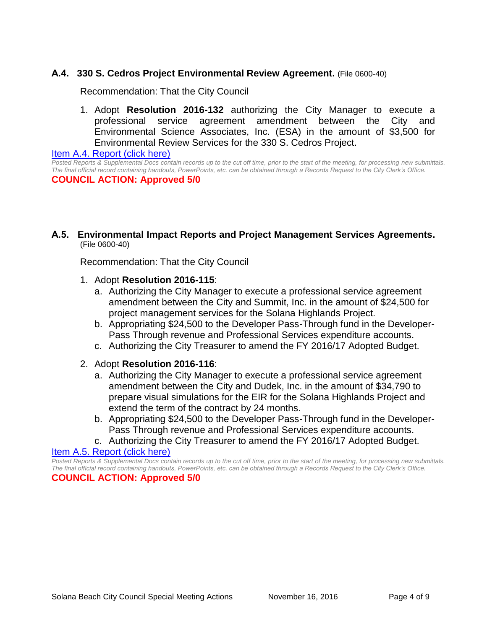## **A.4. 330 S. Cedros Project Environmental Review Agreement.** (File 0600-40)

Recommendation: That the City Council

1. Adopt **Resolution 2016-132** authorizing the City Manager to execute a professional service agreement amendment between the City and Environmental Science Associates, Inc. (ESA) in the amount of \$3,500 for Environmental Review Services for the 330 S. Cedros Project.

[Item A.4. Report \(click here\)](https://solanabeach.govoffice3.com/vertical/Sites/%7B840804C2-F869-4904-9AE3-720581350CE7%7D/uploads/Item_A.4._Report_(click_here)_-_11-16-16.PDF) 

*Posted Reports & Supplemental Docs contain records up to the cut off time, prior to the start of the meeting, for processing new submittals. The final official record containing handouts, PowerPoints, etc. can be obtained through a Records Request to the City Clerk's Office.* **COUNCIL ACTION: Approved 5/0**

**A.5. Environmental Impact Reports and Project Management Services Agreements.**  (File 0600-40)

Recommendation: That the City Council

- 1. Adopt **Resolution 2016-115**:
	- a. Authorizing the City Manager to execute a professional service agreement amendment between the City and Summit, Inc. in the amount of \$24,500 for project management services for the Solana Highlands Project.
	- b. Appropriating \$24,500 to the Developer Pass-Through fund in the Developer-Pass Through revenue and Professional Services expenditure accounts.
	- c. Authorizing the City Treasurer to amend the FY 2016/17 Adopted Budget.
- 2. Adopt **Resolution 2016-116**:
	- a. Authorizing the City Manager to execute a professional service agreement amendment between the City and Dudek, Inc. in the amount of \$34,790 to prepare visual simulations for the EIR for the Solana Highlands Project and extend the term of the contract by 24 months.
	- b. Appropriating \$24,500 to the Developer Pass-Through fund in the Developer-Pass Through revenue and Professional Services expenditure accounts.
	- c. Authorizing the City Treasurer to amend the FY 2016/17 Adopted Budget.

[Item A.5. Report \(click here\)](https://solanabeach.govoffice3.com/vertical/Sites/%7B840804C2-F869-4904-9AE3-720581350CE7%7D/uploads/Item_A.5._Report_(click_here)_-11-16-16.PDF) 

*Posted Reports & Supplemental Docs contain records up to the cut off time, prior to the start of the meeting, for processing new submittals. The final official record containing handouts, PowerPoints, etc. can be obtained through a Records Request to the City Clerk's Office.* **COUNCIL ACTION: Approved 5/0**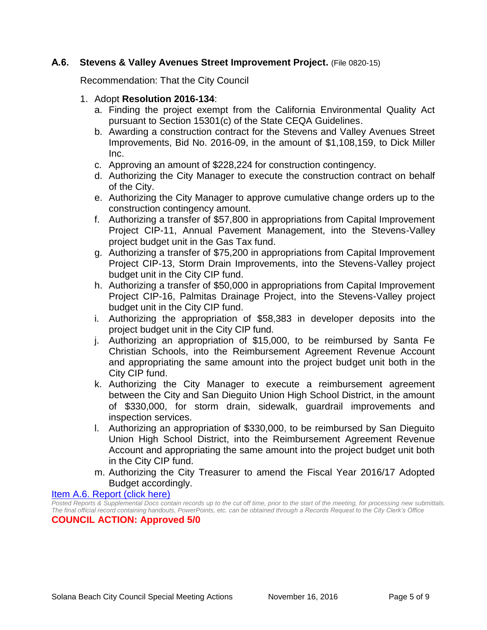## **A.6. Stevens & Valley Avenues Street Improvement Project.** (File 0820-15)

Recommendation: That the City Council

## 1. Adopt **Resolution 2016-134**:

- a. Finding the project exempt from the California Environmental Quality Act pursuant to Section 15301(c) of the State CEQA Guidelines.
- b. Awarding a construction contract for the Stevens and Valley Avenues Street Improvements, Bid No. 2016-09, in the amount of \$1,108,159, to Dick Miller Inc.
- c. Approving an amount of \$228,224 for construction contingency.
- d. Authorizing the City Manager to execute the construction contract on behalf of the City.
- e. Authorizing the City Manager to approve cumulative change orders up to the construction contingency amount.
- f. Authorizing a transfer of \$57,800 in appropriations from Capital Improvement Project CIP-11, Annual Pavement Management, into the Stevens-Valley project budget unit in the Gas Tax fund.
- g. Authorizing a transfer of \$75,200 in appropriations from Capital Improvement Project CIP-13, Storm Drain Improvements, into the Stevens-Valley project budget unit in the City CIP fund.
- h. Authorizing a transfer of \$50,000 in appropriations from Capital Improvement Project CIP-16, Palmitas Drainage Project, into the Stevens-Valley project budget unit in the City CIP fund.
- i. Authorizing the appropriation of \$58,383 in developer deposits into the project budget unit in the City CIP fund.
- j. Authorizing an appropriation of \$15,000, to be reimbursed by Santa Fe Christian Schools, into the Reimbursement Agreement Revenue Account and appropriating the same amount into the project budget unit both in the City CIP fund.
- k. Authorizing the City Manager to execute a reimbursement agreement between the City and San Dieguito Union High School District, in the amount of \$330,000, for storm drain, sidewalk, guardrail improvements and inspection services.
- l. Authorizing an appropriation of \$330,000, to be reimbursed by San Dieguito Union High School District, into the Reimbursement Agreement Revenue Account and appropriating the same amount into the project budget unit both in the City CIP fund.
- m. Authorizing the City Treasurer to amend the Fiscal Year 2016/17 Adopted Budget accordingly.

Item [A.6. Report \(click here\)](https://solanabeach.govoffice3.com/vertical/Sites/%7B840804C2-F869-4904-9AE3-720581350CE7%7D/uploads/Item_A.6._Report_(click_here)_-_11-16-16.PDF) 

*Posted Reports & Supplemental Docs contain records up to the cut off time, prior to the start of the meeting, for processing new submittals. The final official record containing handouts, PowerPoints, etc. can be obtained through a Records Request to the City Clerk's Office*

**COUNCIL ACTION: Approved 5/0**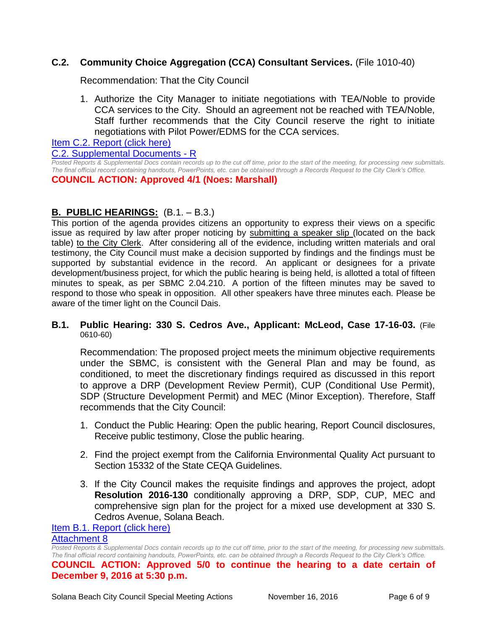## **C.2. Community Choice Aggregation (CCA) Consultant Services.** (File 1010-40)

Recommendation: That the City Council

1. Authorize the City Manager to initiate negotiations with TEA/Noble to provide CCA services to the City. Should an agreement not be reached with TEA/Noble, Staff further recommends that the City Council reserve the right to initiate negotiations with Pilot Power/EDMS for the CCA services.

[Item C.2. Report \(click here\)](https://solanabeach.govoffice3.com/vertical/Sites/%7B840804C2-F869-4904-9AE3-720581350CE7%7D/uploads/Item_C.2._Report_(click_here)_-_11-16-16.PDF)

[C.2. Supplemental Documents -](https://solanabeach.govoffice3.com/vertical/Sites/%7B840804C2-F869-4904-9AE3-720581350CE7%7D/uploads/C.2._Supplemental_Documents_11-16-16_updated_305pm.pdf) R

*Posted Reports & Supplemental Docs contain records up to the cut off time, prior to the start of the meeting, for processing new submittals. The final official record containing handouts, PowerPoints, etc. can be obtained through a Records Request to the City Clerk's Office.* **COUNCIL ACTION: Approved 4/1 (Noes: Marshall)**

## **B. PUBLIC HEARINGS:** (B.1. – B.3.)

This portion of the agenda provides citizens an opportunity to express their views on a specific issue as required by law after proper noticing by submitting a speaker slip (located on the back table) to the City Clerk. After considering all of the evidence, including written materials and oral testimony, the City Council must make a decision supported by findings and the findings must be supported by substantial evidence in the record. An applicant or designees for a private development/business project, for which the public hearing is being held, is allotted a total of fifteen minutes to speak, as per SBMC 2.04.210. A portion of the fifteen minutes may be saved to respond to those who speak in opposition. All other speakers have three minutes each. Please be aware of the timer light on the Council Dais.

**B.1. Public Hearing: 330 S. Cedros Ave., Applicant: McLeod, Case 17-16-03.** (File 0610-60)

Recommendation: The proposed project meets the minimum objective requirements under the SBMC, is consistent with the General Plan and may be found, as conditioned, to meet the discretionary findings required as discussed in this report to approve a DRP (Development Review Permit), CUP (Conditional Use Permit), SDP (Structure Development Permit) and MEC (Minor Exception). Therefore, Staff recommends that the City Council:

- 1. Conduct the Public Hearing: Open the public hearing, Report Council disclosures, Receive public testimony, Close the public hearing.
- 2. Find the project exempt from the California Environmental Quality Act pursuant to Section 15332 of the State CEQA Guidelines.
- 3. If the City Council makes the requisite findings and approves the project, adopt **Resolution 2016-130** conditionally approving a DRP, SDP, CUP, MEC and comprehensive sign plan for the project for a mixed use development at 330 S. Cedros Avenue, Solana Beach.

[Item B.1. Report \(click here\)](https://solanabeach.govoffice3.com/vertical/Sites/%7B840804C2-F869-4904-9AE3-720581350CE7%7D/uploads/Item_B.1._Report_(click_here)_-_11-16-16.PDF)

#### [Attachment 8](https://solanabeach.govoffice3.com/vertical/Sites/%7B840804C2-F869-4904-9AE3-720581350CE7%7D/uploads/Item_B.1._Report_-_Attachment_8_Appendix_-_11-16-2016.pdf)

*Posted Reports & Supplemental Docs contain records up to the cut off time, prior to the start of the meeting, for processing new submittals. The final official record containing handouts, PowerPoints, etc. can be obtained through a Records Request to the City Clerk's Office.*

**COUNCIL ACTION: Approved 5/0 to continue the hearing to a date certain of December 9, 2016 at 5:30 p.m.**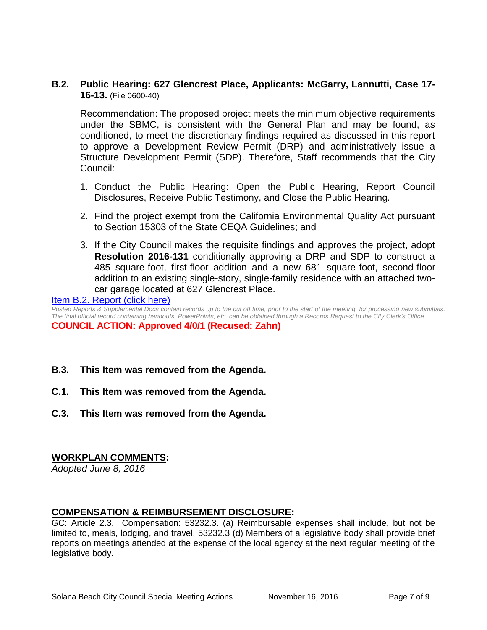**B.2. Public Hearing: 627 Glencrest Place, Applicants: McGarry, Lannutti, Case 17- 16-13.** (File 0600-40)

Recommendation: The proposed project meets the minimum objective requirements under the SBMC, is consistent with the General Plan and may be found, as conditioned, to meet the discretionary findings required as discussed in this report to approve a Development Review Permit (DRP) and administratively issue a Structure Development Permit (SDP). Therefore, Staff recommends that the City Council:

- 1. Conduct the Public Hearing: Open the Public Hearing, Report Council Disclosures, Receive Public Testimony, and Close the Public Hearing.
- 2. Find the project exempt from the California Environmental Quality Act pursuant to Section 15303 of the State CEQA Guidelines; and
- 3. If the City Council makes the requisite findings and approves the project, adopt **Resolution 2016-131** conditionally approving a DRP and SDP to construct a 485 square-foot, first-floor addition and a new 681 square-foot, second-floor addition to an existing single-story, single-family residence with an attached twocar garage located at 627 Glencrest Place.

[Item B.2. Report \(click here\)](https://solanabeach.govoffice3.com/vertical/Sites/%7B840804C2-F869-4904-9AE3-720581350CE7%7D/uploads/Item_B.2._Report_(click_here)_-_11-16-16.PDF)

*Posted Reports & Supplemental Docs contain records up to the cut off time, prior to the start of the meeting, for processing new submittals. The final official record containing handouts, PowerPoints, etc. can be obtained through a Records Request to the City Clerk's Office.*

**COUNCIL ACTION: Approved 4/0/1 (Recused: Zahn)**

- **B.3. This Item was removed from the Agenda.**
- **C.1. This Item was removed from the Agenda.**
- **C.3. This Item was removed from the Agenda.**

#### **WORKPLAN COMMENTS:**

*Adopted June 8, 2016*

#### **COMPENSATION & REIMBURSEMENT DISCLOSURE:**

GC: Article 2.3. Compensation: 53232.3. (a) Reimbursable expenses shall include, but not be limited to, meals, lodging, and travel. 53232.3 (d) Members of a legislative body shall provide brief reports on meetings attended at the expense of the local agency at the next regular meeting of the legislative body.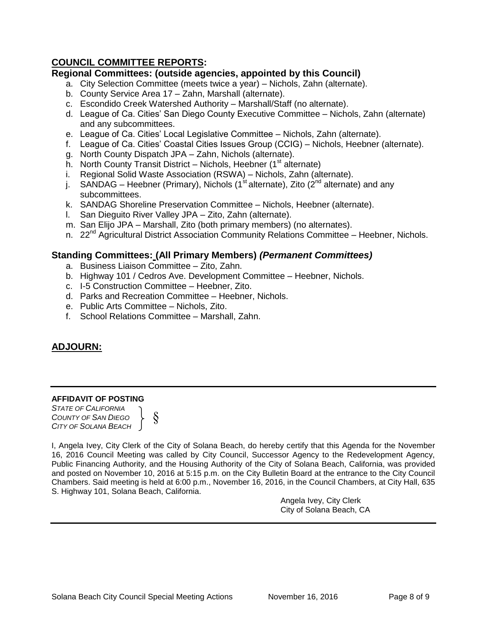## **COUNCIL COMMITTEE REPORTS:**

#### **Regional Committees: (outside agencies, appointed by this Council)**

- a. City Selection Committee (meets twice a year) Nichols, Zahn (alternate).
- b. County Service Area 17 Zahn, Marshall (alternate).
- c. Escondido Creek Watershed Authority Marshall/Staff (no alternate).
- d. League of Ca. Cities' San Diego County Executive Committee Nichols, Zahn (alternate) and any subcommittees.
- e. League of Ca. Cities' Local Legislative Committee Nichols, Zahn (alternate).
- f. League of Ca. Cities' Coastal Cities Issues Group (CCIG) Nichols, Heebner (alternate).
- g. North County Dispatch JPA Zahn, Nichols (alternate).
- h. North County Transit District Nichols, Heebner ( $1<sup>st</sup>$  alternate)
- i. Regional Solid Waste Association (RSWA) Nichols, Zahn (alternate).
- j. SANDAG Heebner (Primary), Nichols (1<sup>st</sup> alternate), Zito (2<sup>nd</sup> alternate) and any subcommittees.
- k. SANDAG Shoreline Preservation Committee Nichols, Heebner (alternate).
- l. San Dieguito River Valley JPA Zito, Zahn (alternate).
- m. San Elijo JPA Marshall, Zito (both primary members) (no alternates).
- n. 22<sup>nd</sup> Agricultural District Association Community Relations Committee Heebner, Nichols.

#### **Standing Committees: (All Primary Members)** *(Permanent Committees)*

- a. Business Liaison Committee Zito, Zahn.
- b. Highway 101 / Cedros Ave. Development Committee Heebner, Nichols.
- c. I-5 Construction Committee Heebner, Zito.
- d. Parks and Recreation Committee Heebner, Nichols.
- e. Public Arts Committee Nichols, Zito.
- f. School Relations Committee Marshall, Zahn.

## **ADJOURN:**

#### **AFFIDAVIT OF POSTING**

*STATE OF CALIFORNIA COUNTY OF SAN DIEGO CITY OF SOLANA BEACH* §

I, Angela Ivey, City Clerk of the City of Solana Beach, do hereby certify that this Agenda for the November 16, 2016 Council Meeting was called by City Council, Successor Agency to the Redevelopment Agency, Public Financing Authority, and the Housing Authority of the City of Solana Beach, California, was provided and posted on November 10, 2016 at 5:15 p.m. on the City Bulletin Board at the entrance to the City Council Chambers. Said meeting is held at 6:00 p.m., November 16, 2016, in the Council Chambers, at City Hall, 635 S. Highway 101, Solana Beach, California.

> Angela Ivey, City Clerk City of Solana Beach, CA